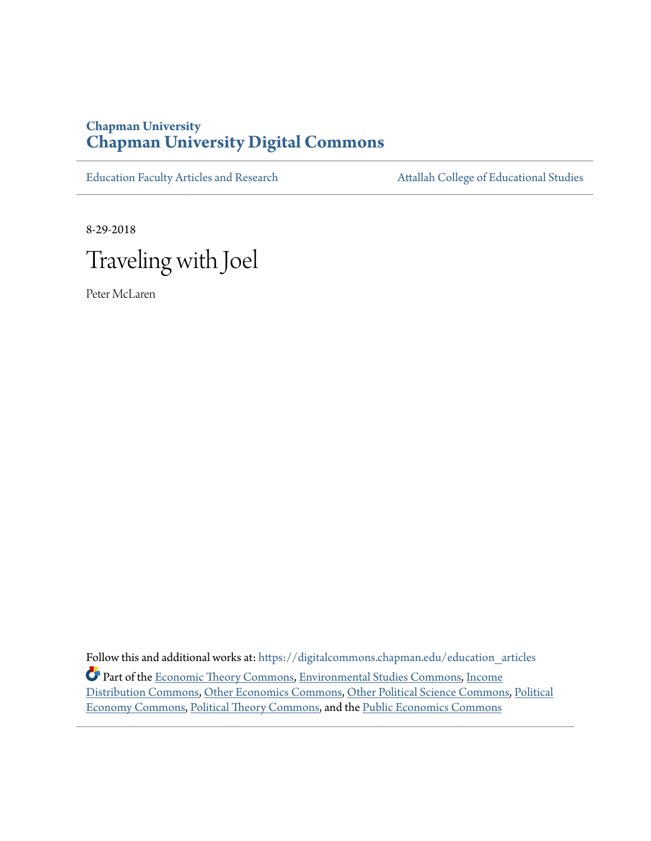## **Chapman University [Chapman University Digital Commons](https://digitalcommons.chapman.edu?utm_source=digitalcommons.chapman.edu%2Feducation_articles%2F221&utm_medium=PDF&utm_campaign=PDFCoverPages)**

[Education Faculty Articles and Research](https://digitalcommons.chapman.edu/education_articles?utm_source=digitalcommons.chapman.edu%2Feducation_articles%2F221&utm_medium=PDF&utm_campaign=PDFCoverPages) [Attallah College of Educational Studies](https://digitalcommons.chapman.edu/ces?utm_source=digitalcommons.chapman.edu%2Feducation_articles%2F221&utm_medium=PDF&utm_campaign=PDFCoverPages)

8-29-2018



Peter McLaren

Follow this and additional works at: [https://digitalcommons.chapman.edu/education\\_articles](https://digitalcommons.chapman.edu/education_articles?utm_source=digitalcommons.chapman.edu%2Feducation_articles%2F221&utm_medium=PDF&utm_campaign=PDFCoverPages) Part of the [Economic Theory Commons,](http://network.bepress.com/hgg/discipline/344?utm_source=digitalcommons.chapman.edu%2Feducation_articles%2F221&utm_medium=PDF&utm_campaign=PDFCoverPages) [Environmental Studies Commons,](http://network.bepress.com/hgg/discipline/1333?utm_source=digitalcommons.chapman.edu%2Feducation_articles%2F221&utm_medium=PDF&utm_campaign=PDFCoverPages) [Income](http://network.bepress.com/hgg/discipline/1269?utm_source=digitalcommons.chapman.edu%2Feducation_articles%2F221&utm_medium=PDF&utm_campaign=PDFCoverPages) [Distribution Commons](http://network.bepress.com/hgg/discipline/1269?utm_source=digitalcommons.chapman.edu%2Feducation_articles%2F221&utm_medium=PDF&utm_campaign=PDFCoverPages), [Other Economics Commons,](http://network.bepress.com/hgg/discipline/353?utm_source=digitalcommons.chapman.edu%2Feducation_articles%2F221&utm_medium=PDF&utm_campaign=PDFCoverPages) [Other Political Science Commons](http://network.bepress.com/hgg/discipline/392?utm_source=digitalcommons.chapman.edu%2Feducation_articles%2F221&utm_medium=PDF&utm_campaign=PDFCoverPages), [Political](http://network.bepress.com/hgg/discipline/352?utm_source=digitalcommons.chapman.edu%2Feducation_articles%2F221&utm_medium=PDF&utm_campaign=PDFCoverPages) [Economy Commons](http://network.bepress.com/hgg/discipline/352?utm_source=digitalcommons.chapman.edu%2Feducation_articles%2F221&utm_medium=PDF&utm_campaign=PDFCoverPages), [Political Theory Commons](http://network.bepress.com/hgg/discipline/391?utm_source=digitalcommons.chapman.edu%2Feducation_articles%2F221&utm_medium=PDF&utm_campaign=PDFCoverPages), and the [Public Economics Commons](http://network.bepress.com/hgg/discipline/351?utm_source=digitalcommons.chapman.edu%2Feducation_articles%2F221&utm_medium=PDF&utm_campaign=PDFCoverPages)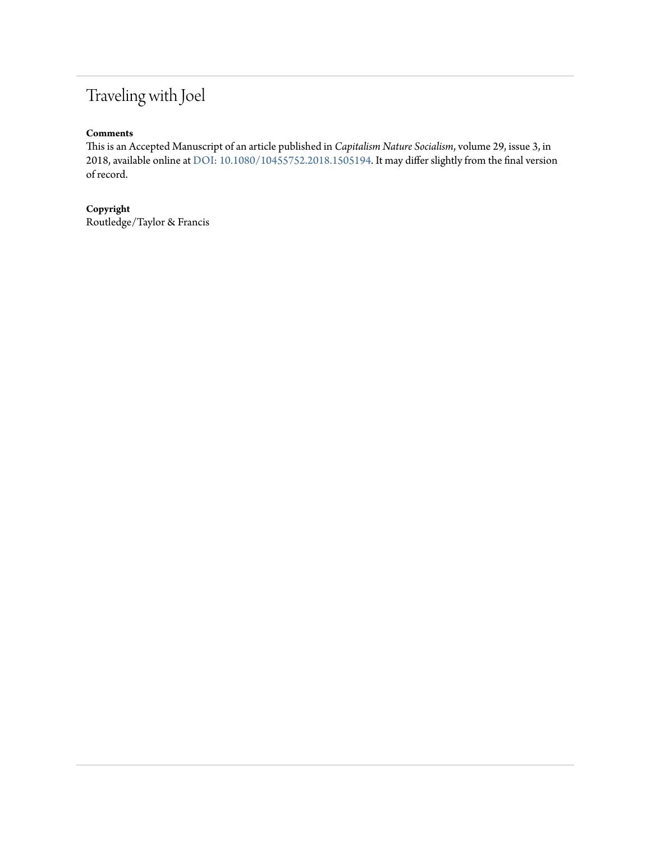# Traveling with Joel

#### **Comments**

This is an Accepted Manuscript of an article published in *Capitalism Nature Socialism*, volume 29, issue 3, in 2018, available online at [DOI: 10.1080/10455752.2018.1505194](https://doi.org/10.1080/10455752.2018.1505194). It may differ slightly from the final version of record.

#### **Copyright**

Routledge/Taylor & Francis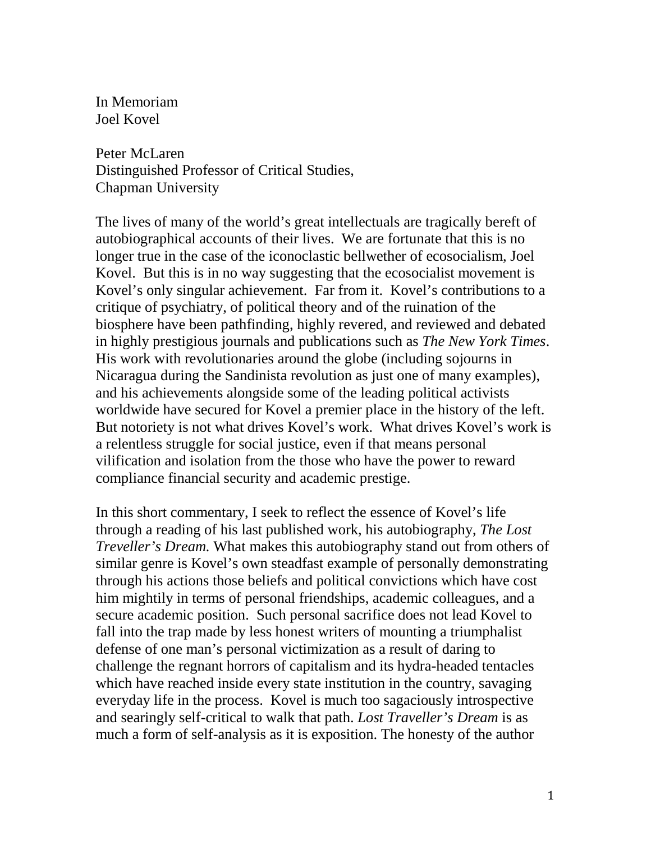In Memoriam Joel Kovel

Peter McLaren Distinguished Professor of Critical Studies, Chapman University

The lives of many of the world's great intellectuals are tragically bereft of autobiographical accounts of their lives. We are fortunate that this is no longer true in the case of the iconoclastic bellwether of ecosocialism, Joel Kovel. But this is in no way suggesting that the ecosocialist movement is Kovel's only singular achievement. Far from it. Kovel's contributions to a critique of psychiatry, of political theory and of the ruination of the biosphere have been pathfinding, highly revered, and reviewed and debated in highly prestigious journals and publications such as *The New York Times*. His work with revolutionaries around the globe (including sojourns in Nicaragua during the Sandinista revolution as just one of many examples), and his achievements alongside some of the leading political activists worldwide have secured for Kovel a premier place in the history of the left. But notoriety is not what drives Kovel's work. What drives Kovel's work is a relentless struggle for social justice, even if that means personal vilification and isolation from the those who have the power to reward compliance financial security and academic prestige.

In this short commentary, I seek to reflect the essence of Kovel's life through a reading of his last published work, his autobiography, *The Lost Treveller's Dream.* What makes this autobiography stand out from others of similar genre is Kovel's own steadfast example of personally demonstrating through his actions those beliefs and political convictions which have cost him mightily in terms of personal friendships, academic colleagues, and a secure academic position. Such personal sacrifice does not lead Kovel to fall into the trap made by less honest writers of mounting a triumphalist defense of one man's personal victimization as a result of daring to challenge the regnant horrors of capitalism and its hydra-headed tentacles which have reached inside every state institution in the country, savaging everyday life in the process. Kovel is much too sagaciously introspective and searingly self-critical to walk that path. *Lost Traveller's Dream* is as much a form of self-analysis as it is exposition. The honesty of the author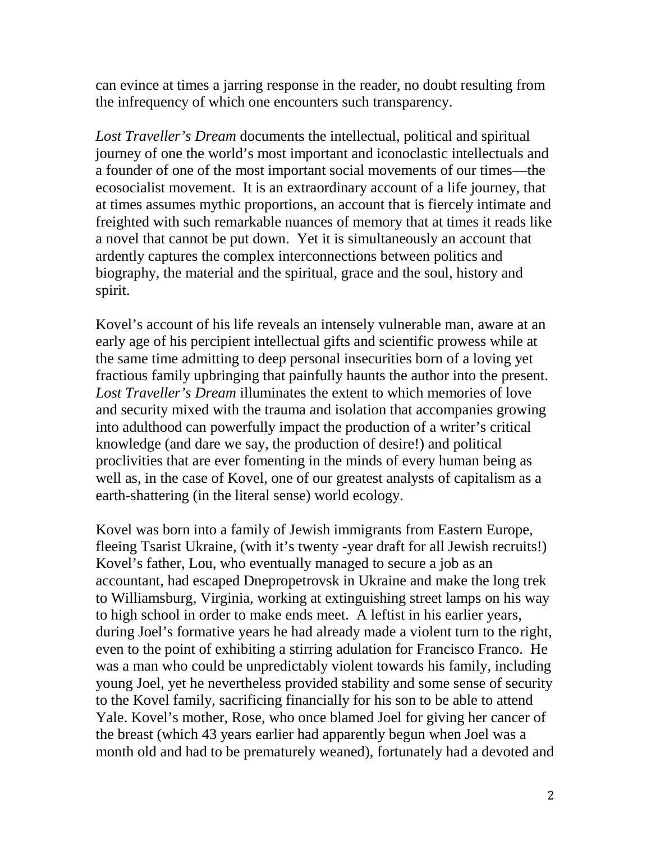can evince at times a jarring response in the reader, no doubt resulting from the infrequency of which one encounters such transparency.

*Lost Traveller's Dream* documents the intellectual, political and spiritual journey of one the world's most important and iconoclastic intellectuals and a founder of one of the most important social movements of our times—the ecosocialist movement. It is an extraordinary account of a life journey, that at times assumes mythic proportions, an account that is fiercely intimate and freighted with such remarkable nuances of memory that at times it reads like a novel that cannot be put down. Yet it is simultaneously an account that ardently captures the complex interconnections between politics and biography, the material and the spiritual, grace and the soul, history and spirit.

Kovel's account of his life reveals an intensely vulnerable man, aware at an early age of his percipient intellectual gifts and scientific prowess while at the same time admitting to deep personal insecurities born of a loving yet fractious family upbringing that painfully haunts the author into the present. *Lost Traveller's Dream* illuminates the extent to which memories of love and security mixed with the trauma and isolation that accompanies growing into adulthood can powerfully impact the production of a writer's critical knowledge (and dare we say, the production of desire!) and political proclivities that are ever fomenting in the minds of every human being as well as, in the case of Kovel, one of our greatest analysts of capitalism as a earth-shattering (in the literal sense) world ecology.

Kovel was born into a family of Jewish immigrants from Eastern Europe, fleeing Tsarist Ukraine, (with it's twenty -year draft for all Jewish recruits!) Kovel's father, Lou, who eventually managed to secure a job as an accountant, had escaped Dnepropetrovsk in Ukraine and make the long trek to Williamsburg, Virginia, working at extinguishing street lamps on his way to high school in order to make ends meet. A leftist in his earlier years, during Joel's formative years he had already made a violent turn to the right, even to the point of exhibiting a stirring adulation for Francisco Franco. He was a man who could be unpredictably violent towards his family, including young Joel, yet he nevertheless provided stability and some sense of security to the Kovel family, sacrificing financially for his son to be able to attend Yale. Kovel's mother, Rose, who once blamed Joel for giving her cancer of the breast (which 43 years earlier had apparently begun when Joel was a month old and had to be prematurely weaned), fortunately had a devoted and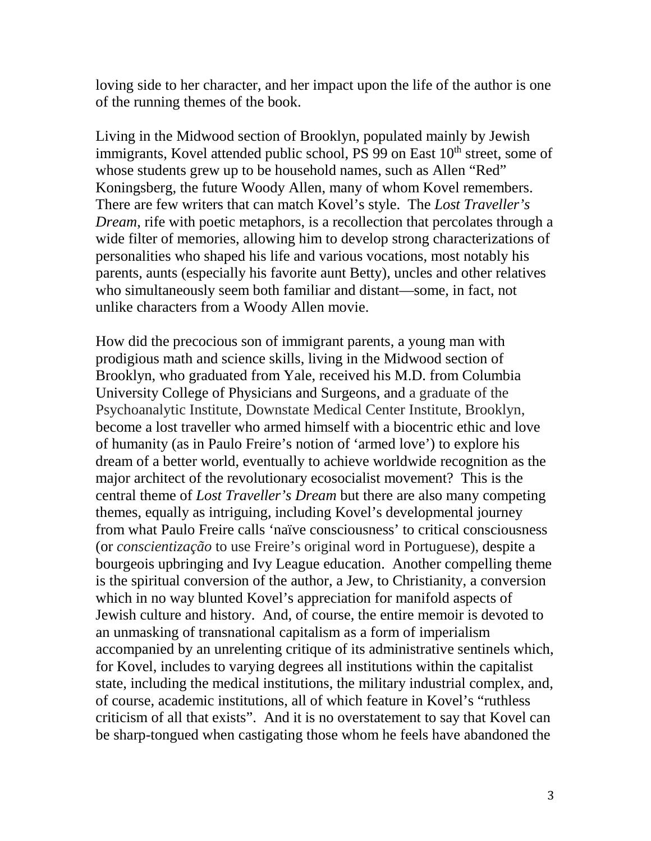loving side to her character, and her impact upon the life of the author is one of the running themes of the book.

Living in the Midwood section of Brooklyn, populated mainly by Jewish immigrants, Kovel attended public school, PS 99 on East  $10<sup>th</sup>$  street, some of whose students grew up to be household names, such as Allen "Red" Koningsberg, the future Woody Allen, many of whom Kovel remembers. There are few writers that can match Kovel's style. The *Lost Traveller's Dream*, rife with poetic metaphors, is a recollection that percolates through a wide filter of memories, allowing him to develop strong characterizations of personalities who shaped his life and various vocations, most notably his parents, aunts (especially his favorite aunt Betty), uncles and other relatives who simultaneously seem both familiar and distant—some, in fact, not unlike characters from a Woody Allen movie.

How did the precocious son of immigrant parents, a young man with prodigious math and science skills, living in the Midwood section of Brooklyn, who graduated from Yale, received his M.D. from Columbia University College of Physicians and Surgeons, and a graduate of the Psychoanalytic Institute, Downstate Medical Center Institute, Brooklyn, become a lost traveller who armed himself with a biocentric ethic and love of humanity (as in Paulo Freire's notion of 'armed love') to explore his dream of a better world, eventually to achieve worldwide recognition as the major architect of the revolutionary ecosocialist movement? This is the central theme of *Lost Traveller's Dream* but there are also many competing themes, equally as intriguing, including Kovel's developmental journey from what Paulo Freire calls 'naïve consciousness' to critical consciousness (or *conscientização* to use Freire's original word in Portuguese), despite a bourgeois upbringing and Ivy League education. Another compelling theme is the spiritual conversion of the author, a Jew, to Christianity, a conversion which in no way blunted Kovel's appreciation for manifold aspects of Jewish culture and history. And, of course, the entire memoir is devoted to an unmasking of transnational capitalism as a form of imperialism accompanied by an unrelenting critique of its administrative sentinels which, for Kovel, includes to varying degrees all institutions within the capitalist state, including the medical institutions, the military industrial complex, and, of course, academic institutions, all of which feature in Kovel's "ruthless criticism of all that exists". And it is no overstatement to say that Kovel can be sharp-tongued when castigating those whom he feels have abandoned the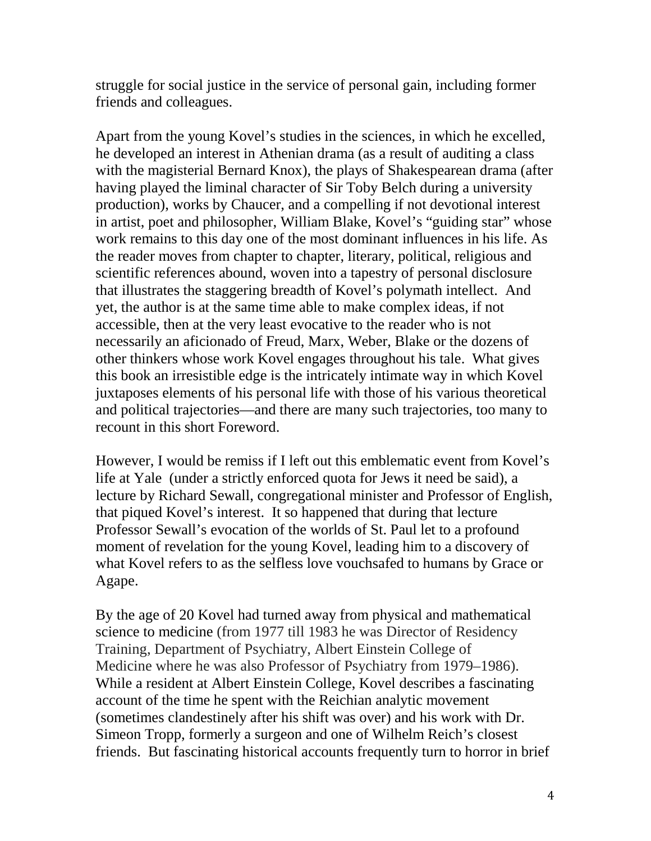struggle for social justice in the service of personal gain, including former friends and colleagues.

Apart from the young Kovel's studies in the sciences, in which he excelled, he developed an interest in Athenian drama (as a result of auditing a class with the magisterial Bernard Knox), the plays of Shakespearean drama (after having played the liminal character of Sir Toby Belch during a university production), works by Chaucer, and a compelling if not devotional interest in artist, poet and philosopher, William Blake, Kovel's "guiding star" whose work remains to this day one of the most dominant influences in his life. As the reader moves from chapter to chapter, literary, political, religious and scientific references abound, woven into a tapestry of personal disclosure that illustrates the staggering breadth of Kovel's polymath intellect. And yet, the author is at the same time able to make complex ideas, if not accessible, then at the very least evocative to the reader who is not necessarily an aficionado of Freud, Marx, Weber, Blake or the dozens of other thinkers whose work Kovel engages throughout his tale. What gives this book an irresistible edge is the intricately intimate way in which Kovel juxtaposes elements of his personal life with those of his various theoretical and political trajectories—and there are many such trajectories, too many to recount in this short Foreword.

However, I would be remiss if I left out this emblematic event from Kovel's life at Yale (under a strictly enforced quota for Jews it need be said), a lecture by Richard Sewall, congregational minister and Professor of English, that piqued Kovel's interest. It so happened that during that lecture Professor Sewall's evocation of the worlds of St. Paul let to a profound moment of revelation for the young Kovel, leading him to a discovery of what Kovel refers to as the selfless love vouchsafed to humans by Grace or Agape.

By the age of 20 Kovel had turned away from physical and mathematical science to medicine (from 1977 till 1983 he was Director of Residency Training, Department of Psychiatry, Albert Einstein College of Medicine where he was also Professor of Psychiatry from 1979–1986). While a resident at Albert Einstein College, Kovel describes a fascinating account of the time he spent with the Reichian analytic movement (sometimes clandestinely after his shift was over) and his work with Dr. Simeon Tropp, formerly a surgeon and one of Wilhelm Reich's closest friends. But fascinating historical accounts frequently turn to horror in brief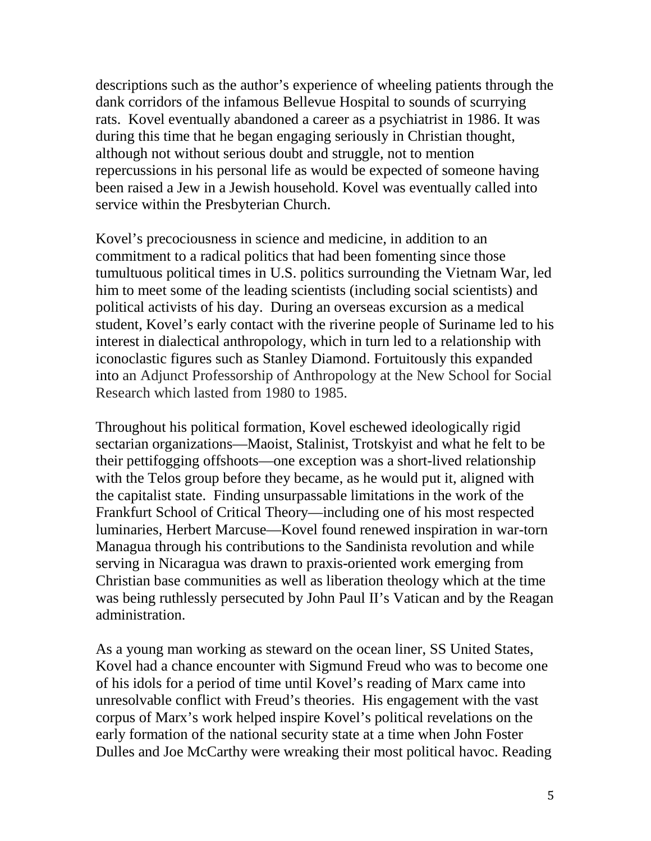descriptions such as the author's experience of wheeling patients through the dank corridors of the infamous Bellevue Hospital to sounds of scurrying rats. Kovel eventually abandoned a career as a psychiatrist in 1986. It was during this time that he began engaging seriously in Christian thought, although not without serious doubt and struggle, not to mention repercussions in his personal life as would be expected of someone having been raised a Jew in a Jewish household. Kovel was eventually called into service within the Presbyterian Church.

Kovel's precociousness in science and medicine, in addition to an commitment to a radical politics that had been fomenting since those tumultuous political times in U.S. politics surrounding the Vietnam War, led him to meet some of the leading scientists (including social scientists) and political activists of his day. During an overseas excursion as a medical student, Kovel's early contact with the riverine people of Suriname led to his interest in dialectical anthropology, which in turn led to a relationship with iconoclastic figures such as Stanley Diamond. Fortuitously this expanded into an Adjunct Professorship of Anthropology at the New School for Social Research which lasted from 1980 to 1985.

Throughout his political formation, Kovel eschewed ideologically rigid sectarian organizations—Maoist, Stalinist, Trotskyist and what he felt to be their pettifogging offshoots—one exception was a short-lived relationship with the Telos group before they became, as he would put it, aligned with the capitalist state. Finding unsurpassable limitations in the work of the Frankfurt School of Critical Theory—including one of his most respected luminaries, Herbert Marcuse—Kovel found renewed inspiration in war-torn Managua through his contributions to the Sandinista revolution and while serving in Nicaragua was drawn to praxis-oriented work emerging from Christian base communities as well as liberation theology which at the time was being ruthlessly persecuted by John Paul II's Vatican and by the Reagan administration.

As a young man working as steward on the ocean liner, SS United States, Kovel had a chance encounter with Sigmund Freud who was to become one of his idols for a period of time until Kovel's reading of Marx came into unresolvable conflict with Freud's theories. His engagement with the vast corpus of Marx's work helped inspire Kovel's political revelations on the early formation of the national security state at a time when John Foster Dulles and Joe McCarthy were wreaking their most political havoc. Reading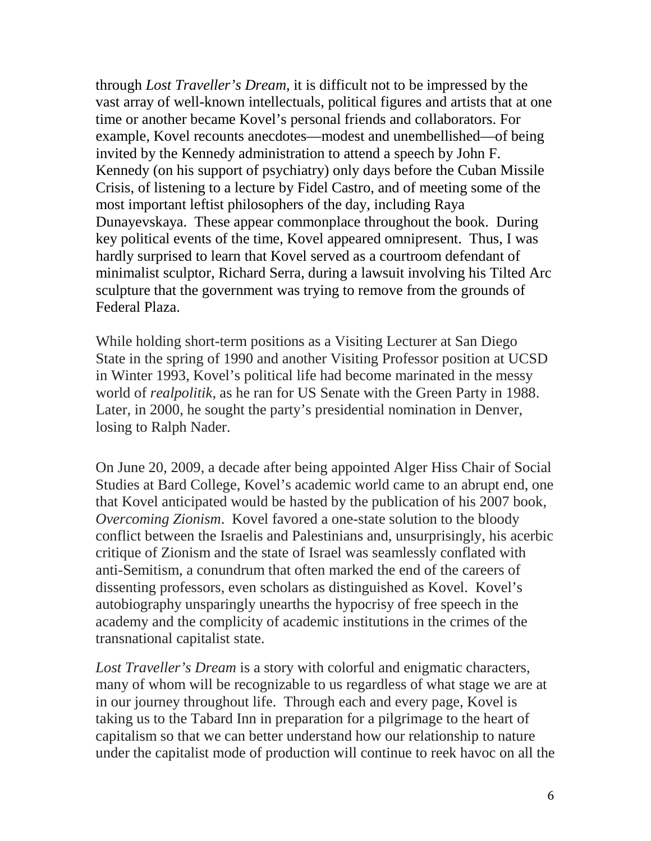through *Lost Traveller's Dream*, it is difficult not to be impressed by the vast array of well-known intellectuals, political figures and artists that at one time or another became Kovel's personal friends and collaborators. For example, Kovel recounts anecdotes—modest and unembellished—of being invited by the Kennedy administration to attend a speech by John F. Kennedy (on his support of psychiatry) only days before the Cuban Missile Crisis, of listening to a lecture by Fidel Castro, and of meeting some of the most important leftist philosophers of the day, including Raya Dunayevskaya. These appear commonplace throughout the book. During key political events of the time, Kovel appeared omnipresent. Thus, I was hardly surprised to learn that Kovel served as a courtroom defendant of minimalist sculptor, Richard Serra, during a lawsuit involving his Tilted Arc sculpture that the government was trying to remove from the grounds of Federal Plaza.

While holding short-term positions as a Visiting Lecturer at San Diego State in the spring of 1990 and another Visiting Professor position at UCSD in Winter 1993, Kovel's political life had become marinated in the messy world of *realpolitik*, as he ran for US Senate with the Green Party in 1988. Later, in 2000, he sought the party's presidential nomination in Denver, losing to Ralph Nader.

On June 20, 2009, a decade after being appointed Alger Hiss Chair of Social Studies at Bard College, Kovel's academic world came to an abrupt end, one that Kovel anticipated would be hasted by the publication of his 2007 book, *Overcoming Zionism*. Kovel favored a one-state solution to the bloody conflict between the Israelis and Palestinians and, unsurprisingly, his acerbic critique of Zionism and the state of Israel was seamlessly conflated with anti-Semitism, a conundrum that often marked the end of the careers of dissenting professors, even scholars as distinguished as Kovel. Kovel's autobiography unsparingly unearths the hypocrisy of free speech in the academy and the complicity of academic institutions in the crimes of the transnational capitalist state.

*Lost Traveller's Dream* is a story with colorful and enigmatic characters, many of whom will be recognizable to us regardless of what stage we are at in our journey throughout life. Through each and every page, Kovel is taking us to the Tabard Inn in preparation for a pilgrimage to the heart of capitalism so that we can better understand how our relationship to nature under the capitalist mode of production will continue to reek havoc on all the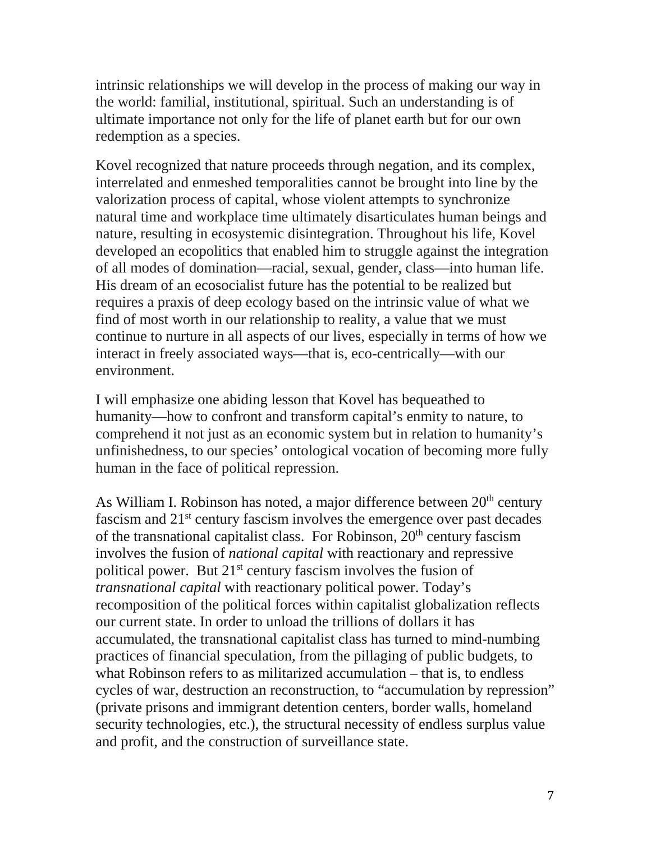intrinsic relationships we will develop in the process of making our way in the world: familial, institutional, spiritual. Such an understanding is of ultimate importance not only for the life of planet earth but for our own redemption as a species.

Kovel recognized that nature proceeds through negation, and its complex, interrelated and enmeshed temporalities cannot be brought into line by the valorization process of capital, whose violent attempts to synchronize natural time and workplace time ultimately disarticulates human beings and nature, resulting in ecosystemic disintegration. Throughout his life, Kovel developed an ecopolitics that enabled him to struggle against the integration of all modes of domination—racial, sexual, gender, class—into human life. His dream of an ecosocialist future has the potential to be realized but requires a praxis of deep ecology based on the intrinsic value of what we find of most worth in our relationship to reality, a value that we must continue to nurture in all aspects of our lives, especially in terms of how we interact in freely associated ways—that is, eco-centrically—with our environment.

I will emphasize one abiding lesson that Kovel has bequeathed to humanity—how to confront and transform capital's enmity to nature, to comprehend it not just as an economic system but in relation to humanity's unfinishedness, to our species' ontological vocation of becoming more fully human in the face of political repression.

As William I. Robinson has noted, a major difference between  $20<sup>th</sup>$  century fascism and 21<sup>st</sup> century fascism involves the emergence over past decades of the transnational capitalist class. For Robinson,  $20<sup>th</sup>$  century fascism involves the fusion of *national capital* with reactionary and repressive political power. But  $21<sup>st</sup>$  century fascism involves the fusion of *transnational capital* with reactionary political power. Today's recomposition of the political forces within capitalist globalization reflects our current state. In order to unload the trillions of dollars it has accumulated, the transnational capitalist class has turned to mind-numbing practices of financial speculation, from the pillaging of public budgets, to what Robinson refers to as militarized accumulation – that is, to endless cycles of war, destruction an reconstruction, to "accumulation by repression" (private prisons and immigrant detention centers, border walls, homeland security technologies, etc.), the structural necessity of endless surplus value and profit, and the construction of surveillance state.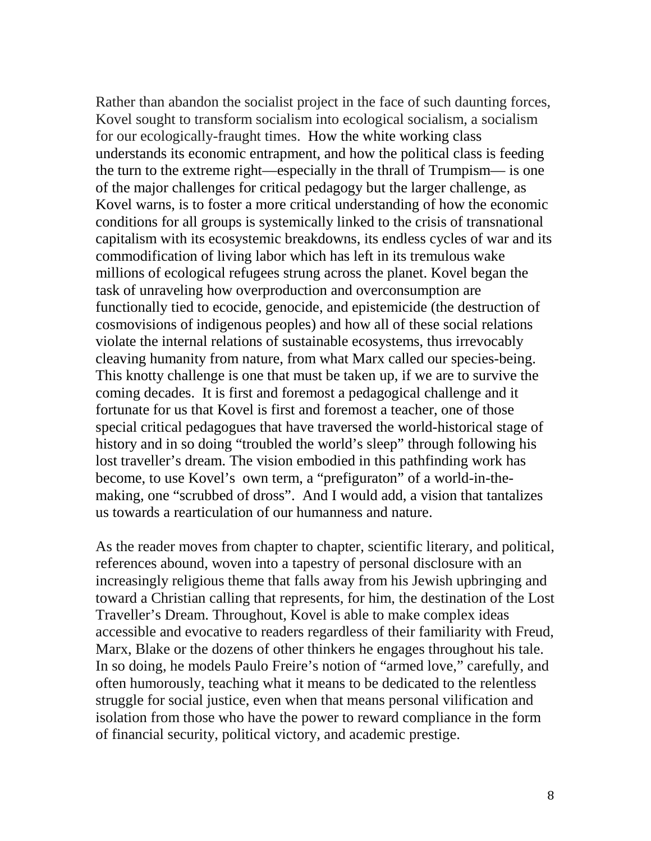Rather than abandon the socialist project in the face of such daunting forces, Kovel sought to transform socialism into ecological socialism, a socialism for our ecologically-fraught times. How the white working class understands its economic entrapment, and how the political class is feeding the turn to the extreme right—especially in the thrall of Trumpism— is one of the major challenges for critical pedagogy but the larger challenge, as Kovel warns, is to foster a more critical understanding of how the economic conditions for all groups is systemically linked to the crisis of transnational capitalism with its ecosystemic breakdowns, its endless cycles of war and its commodification of living labor which has left in its tremulous wake millions of ecological refugees strung across the planet. Kovel began the task of unraveling how overproduction and overconsumption are functionally tied to ecocide, genocide, and epistemicide (the destruction of cosmovisions of indigenous peoples) and how all of these social relations violate the internal relations of sustainable ecosystems, thus irrevocably cleaving humanity from nature, from what Marx called our species-being. This knotty challenge is one that must be taken up, if we are to survive the coming decades. It is first and foremost a pedagogical challenge and it fortunate for us that Kovel is first and foremost a teacher, one of those special critical pedagogues that have traversed the world-historical stage of history and in so doing "troubled the world's sleep" through following his lost traveller's dream. The vision embodied in this pathfinding work has become, to use Kovel's own term, a "prefiguraton" of a world-in-themaking, one "scrubbed of dross". And I would add, a vision that tantalizes us towards a rearticulation of our humanness and nature.

As the reader moves from chapter to chapter, scientific literary, and political, references abound, woven into a tapestry of personal disclosure with an increasingly religious theme that falls away from his Jewish upbringing and toward a Christian calling that represents, for him, the destination of the Lost Traveller's Dream. Throughout, Kovel is able to make complex ideas accessible and evocative to readers regardless of their familiarity with Freud, Marx, Blake or the dozens of other thinkers he engages throughout his tale. In so doing, he models Paulo Freire's notion of "armed love," carefully, and often humorously, teaching what it means to be dedicated to the relentless struggle for social justice, even when that means personal vilification and isolation from those who have the power to reward compliance in the form of financial security, political victory, and academic prestige.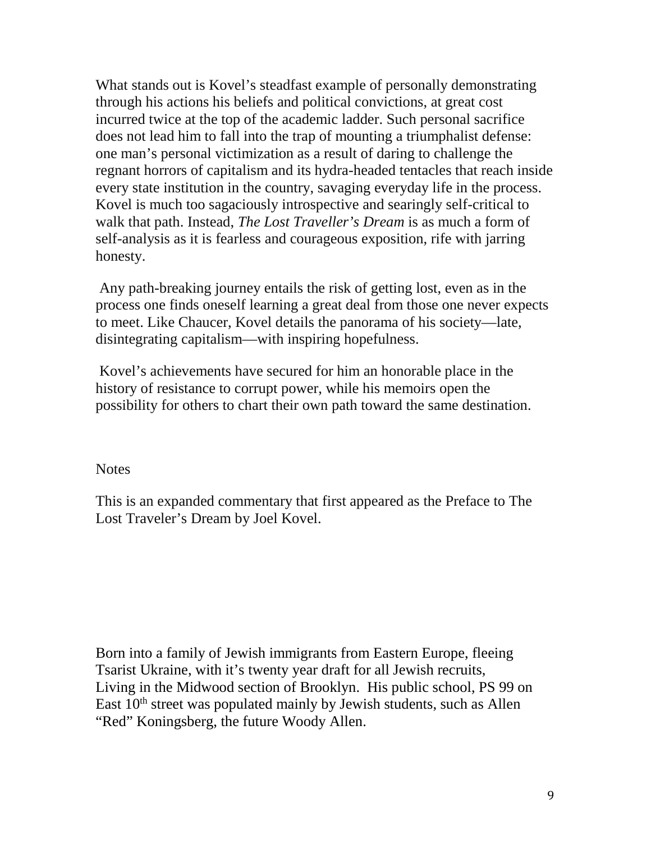What stands out is Kovel's steadfast example of personally demonstrating through his actions his beliefs and political convictions, at great cost incurred twice at the top of the academic ladder. Such personal sacrifice does not lead him to fall into the trap of mounting a triumphalist defense: one man's personal victimization as a result of daring to challenge the regnant horrors of capitalism and its hydra-headed tentacles that reach inside every state institution in the country, savaging everyday life in the process. Kovel is much too sagaciously introspective and searingly self-critical to walk that path. Instead, *The Lost Traveller's Dream* is as much a form of self-analysis as it is fearless and courageous exposition, rife with jarring honesty.

Any path-breaking journey entails the risk of getting lost, even as in the process one finds oneself learning a great deal from those one never expects to meet. Like Chaucer, Kovel details the panorama of his society––late, disintegrating capitalism––with inspiring hopefulness.

Kovel's achievements have secured for him an honorable place in the history of resistance to corrupt power, while his memoirs open the possibility for others to chart their own path toward the same destination.

#### **Notes**

This is an expanded commentary that first appeared as the Preface to The Lost Traveler's Dream by Joel Kovel.

Born into a family of Jewish immigrants from Eastern Europe, fleeing Tsarist Ukraine, with it's twenty year draft for all Jewish recruits, Living in the Midwood section of Brooklyn. His public school, PS 99 on East  $10<sup>th</sup>$  street was populated mainly by Jewish students, such as Allen "Red" Koningsberg, the future Woody Allen.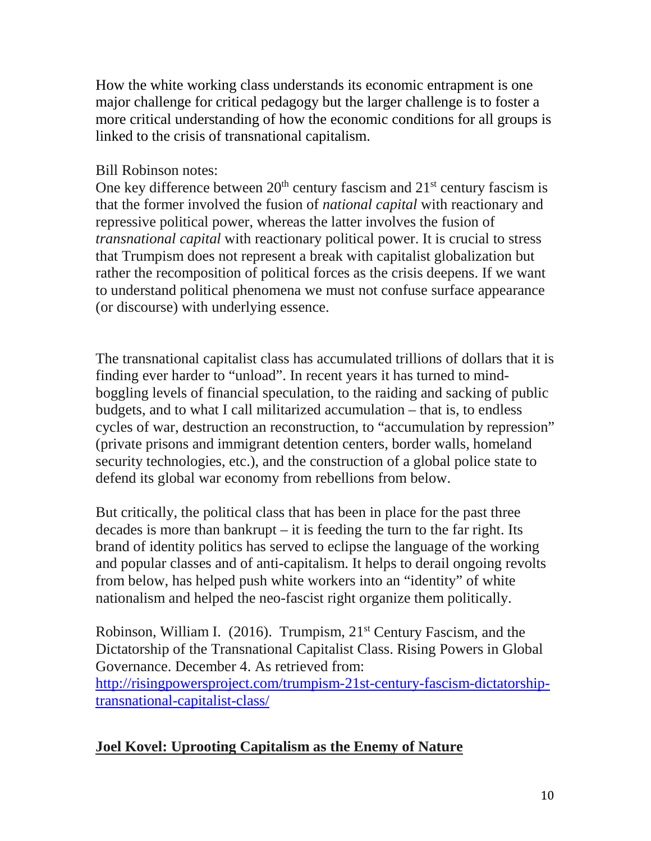How the white working class understands its economic entrapment is one major challenge for critical pedagogy but the larger challenge is to foster a more critical understanding of how the economic conditions for all groups is linked to the crisis of transnational capitalism.

## Bill Robinson notes:

One key difference between  $20<sup>th</sup>$  century fascism and  $21<sup>st</sup>$  century fascism is that the former involved the fusion of *national capital* with reactionary and repressive political power, whereas the latter involves the fusion of *transnational capital* with reactionary political power. It is crucial to stress that Trumpism does not represent a break with capitalist globalization but rather the recomposition of political forces as the crisis deepens. If we want to understand political phenomena we must not confuse surface appearance (or discourse) with underlying essence.

The transnational capitalist class has accumulated trillions of dollars that it is finding ever harder to "unload". In recent years it has turned to mindboggling levels of financial speculation, to the raiding and sacking of public budgets, and to what I call militarized accumulation – that is, to endless cycles of war, destruction an reconstruction, to "accumulation by repression" (private prisons and immigrant detention centers, border walls, homeland security technologies, etc.), and the construction of a global police state to defend its global war economy from rebellions from below.

But critically, the political class that has been in place for the past three decades is more than bankrupt – it is feeding the turn to the far right. Its brand of identity politics has served to eclipse the language of the working and popular classes and of anti-capitalism. It helps to derail ongoing revolts from below, has helped push white workers into an "identity" of white nationalism and helped the neo-fascist right organize them politically.

Robinson, William I. (2016). Trumpism,  $21<sup>st</sup>$  Century Fascism, and the Dictatorship of the Transnational Capitalist Class. Rising Powers in Global Governance. December 4. As retrieved from: [http://risingpowersproject.com/trumpism-21st-century-fascism-dictatorship](http://risingpowersproject.com/trumpism-21st-century-fascism-dictatorship-transnational-capitalist-class/)[transnational-capitalist-class/](http://risingpowersproject.com/trumpism-21st-century-fascism-dictatorship-transnational-capitalist-class/)

# **Joel Kovel: Uprooting Capitalism as the Enemy of Nature**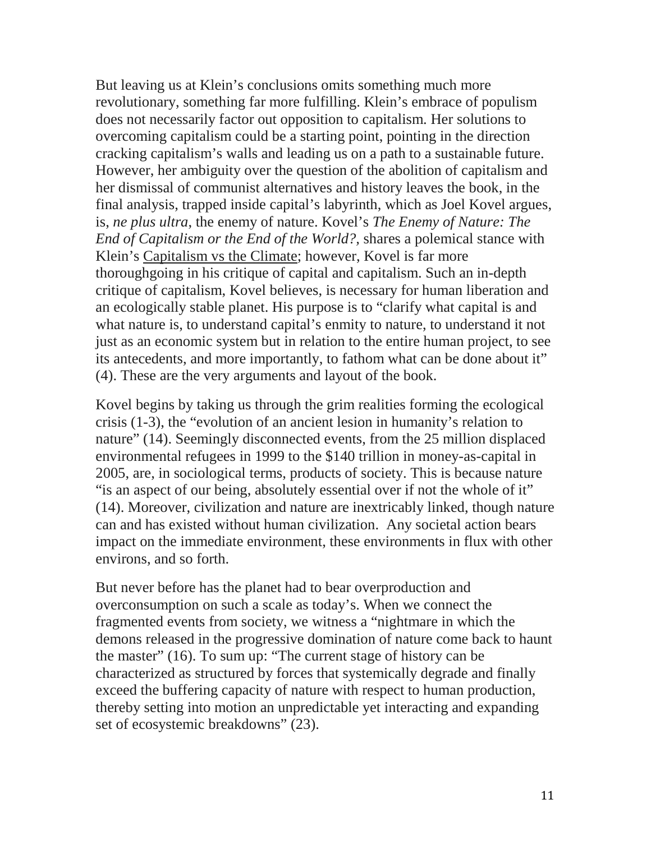But leaving us at Klein's conclusions omits something much more revolutionary, something far more fulfilling. Klein's embrace of populism does not necessarily factor out opposition to capitalism. Her solutions to overcoming capitalism could be a starting point, pointing in the direction cracking capitalism's walls and leading us on a path to a sustainable future. However, her ambiguity over the question of the abolition of capitalism and her dismissal of communist alternatives and history leaves the book, in the final analysis, trapped inside capital's labyrinth, which as Joel Kovel argues, is, *ne plus ultra*, the enemy of nature. Kovel's *The Enemy of Nature: The End of Capitalism or the End of the World?,* shares a polemical stance with Klein's Capitalism vs the Climate; however, Kovel is far more thoroughgoing in his critique of capital and capitalism. Such an in-depth critique of capitalism, Kovel believes, is necessary for human liberation and an ecologically stable planet. His purpose is to "clarify what capital is and what nature is, to understand capital's enmity to nature, to understand it not just as an economic system but in relation to the entire human project, to see its antecedents, and more importantly, to fathom what can be done about it" (4). These are the very arguments and layout of the book.

Kovel begins by taking us through the grim realities forming the ecological crisis (1-3), the "evolution of an ancient lesion in humanity's relation to nature" (14). Seemingly disconnected events, from the 25 million displaced environmental refugees in 1999 to the \$140 trillion in money-as-capital in 2005, are, in sociological terms, products of society. This is because nature "is an aspect of our being, absolutely essential over if not the whole of it" (14). Moreover, civilization and nature are inextricably linked, though nature can and has existed without human civilization. Any societal action bears impact on the immediate environment, these environments in flux with other environs, and so forth.

But never before has the planet had to bear overproduction and overconsumption on such a scale as today's. When we connect the fragmented events from society, we witness a "nightmare in which the demons released in the progressive domination of nature come back to haunt the master" (16). To sum up: "The current stage of history can be characterized as structured by forces that systemically degrade and finally exceed the buffering capacity of nature with respect to human production, thereby setting into motion an unpredictable yet interacting and expanding set of ecosystemic breakdowns" (23).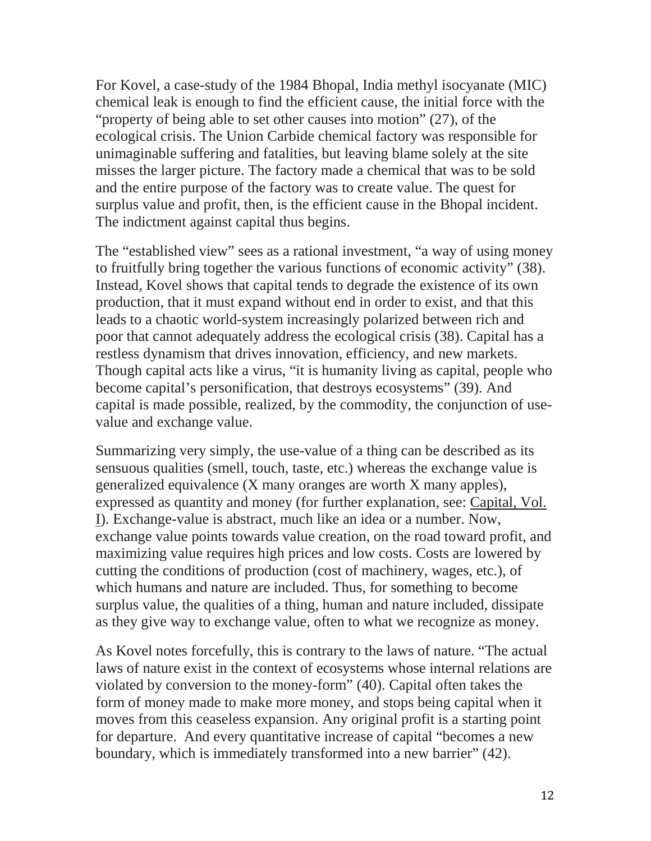For Kovel, a case-study of the 1984 Bhopal, India methyl isocyanate (MIC) chemical leak is enough to find the efficient cause, the initial force with the "property of being able to set other causes into motion" (27), of the ecological crisis. The Union Carbide chemical factory was responsible for unimaginable suffering and fatalities, but leaving blame solely at the site misses the larger picture. The factory made a chemical that was to be sold and the entire purpose of the factory was to create value. The quest for surplus value and profit, then, is the efficient cause in the Bhopal incident. The indictment against capital thus begins.

The "established view" sees as a rational investment, "a way of using money to fruitfully bring together the various functions of economic activity" (38). Instead, Kovel shows that capital tends to degrade the existence of its own production, that it must expand without end in order to exist, and that this leads to a chaotic world-system increasingly polarized between rich and poor that cannot adequately address the ecological crisis (38). Capital has a restless dynamism that drives innovation, efficiency, and new markets. Though capital acts like a virus, "it is humanity living as capital, people who become capital's personification, that destroys ecosystems" (39). And capital is made possible, realized, by the commodity, the conjunction of usevalue and exchange value.

Summarizing very simply, the use-value of a thing can be described as its sensuous qualities (smell, touch, taste, etc.) whereas the exchange value is generalized equivalence (X many oranges are worth X many apples), expressed as quantity and money (for further explanation, see: Capital, Vol. I). Exchange-value is abstract, much like an idea or a number. Now, exchange value points towards value creation, on the road toward profit, and maximizing value requires high prices and low costs. Costs are lowered by cutting the conditions of production (cost of machinery, wages, etc.), of which humans and nature are included. Thus, for something to become surplus value, the qualities of a thing, human and nature included, dissipate as they give way to exchange value, often to what we recognize as money.

As Kovel notes forcefully, this is contrary to the laws of nature. "The actual laws of nature exist in the context of ecosystems whose internal relations are violated by conversion to the money-form" (40). Capital often takes the form of money made to make more money, and stops being capital when it moves from this ceaseless expansion. Any original profit is a starting point for departure. And every quantitative increase of capital "becomes a new boundary, which is immediately transformed into a new barrier" (42).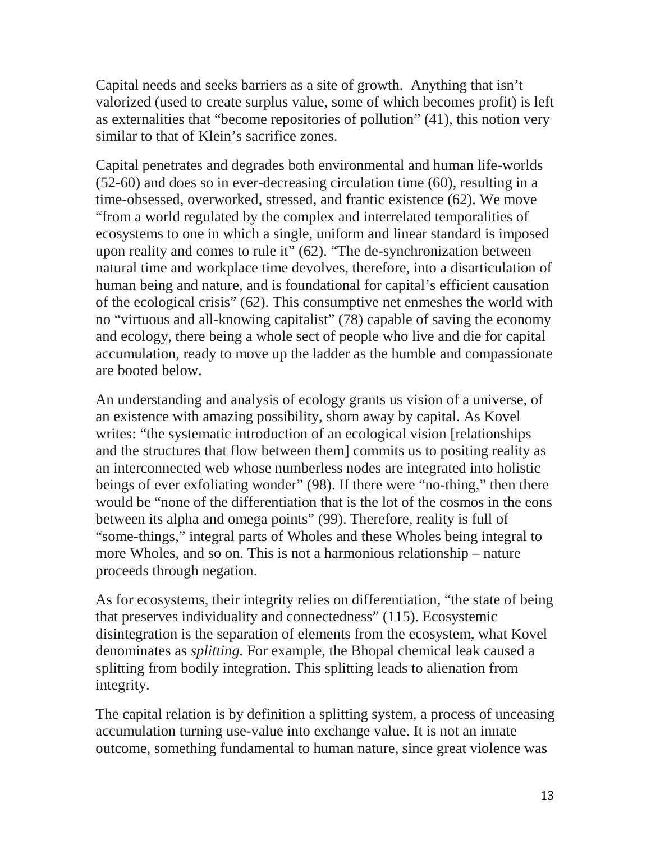Capital needs and seeks barriers as a site of growth. Anything that isn't valorized (used to create surplus value, some of which becomes profit) is left as externalities that "become repositories of pollution" (41), this notion very similar to that of Klein's sacrifice zones.

Capital penetrates and degrades both environmental and human life-worlds (52-60) and does so in ever-decreasing circulation time (60), resulting in a time-obsessed, overworked, stressed, and frantic existence (62). We move "from a world regulated by the complex and interrelated temporalities of ecosystems to one in which a single, uniform and linear standard is imposed upon reality and comes to rule it" (62). "The de-synchronization between natural time and workplace time devolves, therefore, into a disarticulation of human being and nature, and is foundational for capital's efficient causation of the ecological crisis" (62). This consumptive net enmeshes the world with no "virtuous and all-knowing capitalist" (78) capable of saving the economy and ecology, there being a whole sect of people who live and die for capital accumulation, ready to move up the ladder as the humble and compassionate are booted below.

An understanding and analysis of ecology grants us vision of a universe, of an existence with amazing possibility, shorn away by capital. As Kovel writes: "the systematic introduction of an ecological vision [relationships and the structures that flow between them] commits us to positing reality as an interconnected web whose numberless nodes are integrated into holistic beings of ever exfoliating wonder" (98). If there were "no-thing," then there would be "none of the differentiation that is the lot of the cosmos in the eons between its alpha and omega points" (99). Therefore, reality is full of "some-things," integral parts of Wholes and these Wholes being integral to more Wholes, and so on. This is not a harmonious relationship – nature proceeds through negation.

As for ecosystems, their integrity relies on differentiation, "the state of being that preserves individuality and connectedness" (115). Ecosystemic disintegration is the separation of elements from the ecosystem, what Kovel denominates as *splitting.* For example, the Bhopal chemical leak caused a splitting from bodily integration. This splitting leads to alienation from integrity.

The capital relation is by definition a splitting system, a process of unceasing accumulation turning use-value into exchange value. It is not an innate outcome, something fundamental to human nature, since great violence was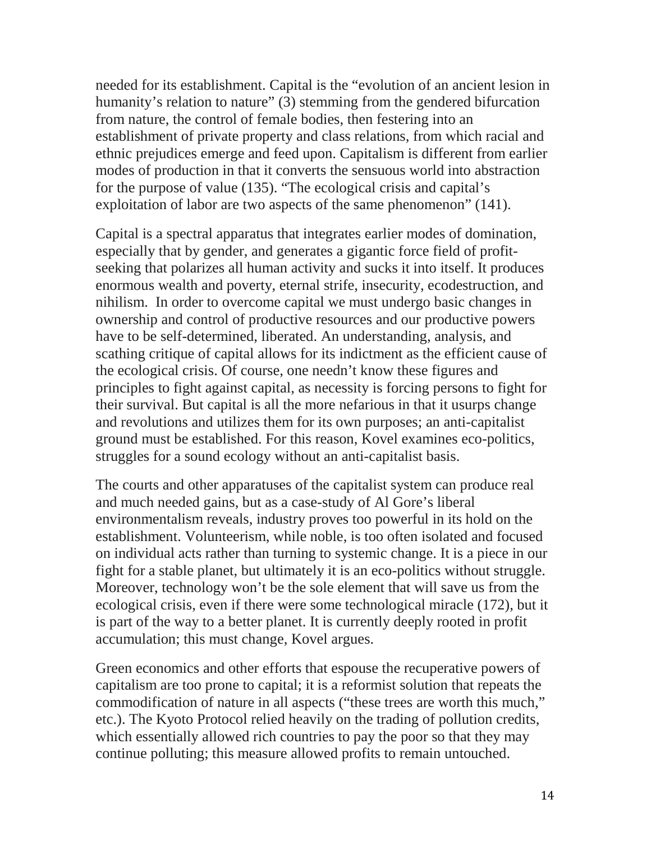needed for its establishment. Capital is the "evolution of an ancient lesion in humanity's relation to nature" (3) stemming from the gendered bifurcation from nature, the control of female bodies, then festering into an establishment of private property and class relations, from which racial and ethnic prejudices emerge and feed upon. Capitalism is different from earlier modes of production in that it converts the sensuous world into abstraction for the purpose of value (135). "The ecological crisis and capital's exploitation of labor are two aspects of the same phenomenon" (141).

Capital is a spectral apparatus that integrates earlier modes of domination, especially that by gender, and generates a gigantic force field of profitseeking that polarizes all human activity and sucks it into itself. It produces enormous wealth and poverty, eternal strife, insecurity, ecodestruction, and nihilism. In order to overcome capital we must undergo basic changes in ownership and control of productive resources and our productive powers have to be self-determined, liberated. An understanding, analysis, and scathing critique of capital allows for its indictment as the efficient cause of the ecological crisis. Of course, one needn't know these figures and principles to fight against capital, as necessity is forcing persons to fight for their survival. But capital is all the more nefarious in that it usurps change and revolutions and utilizes them for its own purposes; an anti-capitalist ground must be established. For this reason, Kovel examines eco-politics, struggles for a sound ecology without an anti-capitalist basis.

The courts and other apparatuses of the capitalist system can produce real and much needed gains, but as a case-study of Al Gore's liberal environmentalism reveals, industry proves too powerful in its hold on the establishment. Volunteerism, while noble, is too often isolated and focused on individual acts rather than turning to systemic change. It is a piece in our fight for a stable planet, but ultimately it is an eco-politics without struggle. Moreover, technology won't be the sole element that will save us from the ecological crisis, even if there were some technological miracle (172), but it is part of the way to a better planet. It is currently deeply rooted in profit accumulation; this must change, Kovel argues.

Green economics and other efforts that espouse the recuperative powers of capitalism are too prone to capital; it is a reformist solution that repeats the commodification of nature in all aspects ("these trees are worth this much," etc.). The Kyoto Protocol relied heavily on the trading of pollution credits, which essentially allowed rich countries to pay the poor so that they may continue polluting; this measure allowed profits to remain untouched.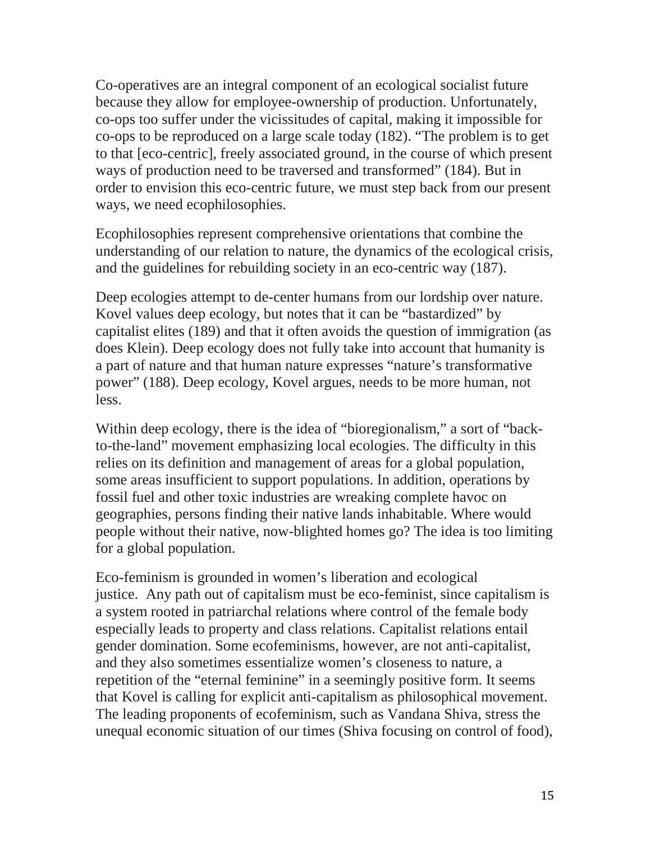Co-operatives are an integral component of an ecological socialist future because they allow for employee-ownership of production. Unfortunately, co-ops too suffer under the vicissitudes of capital, making it impossible for co-ops to be reproduced on a large scale today (182). "The problem is to get to that [eco-centric], freely associated ground, in the course of which present ways of production need to be traversed and transformed" (184). But in order to envision this eco-centric future, we must step back from our present ways, we need ecophilosophies.

Ecophilosophies represent comprehensive orientations that combine the understanding of our relation to nature, the dynamics of the ecological crisis, and the guidelines for rebuilding society in an eco-centric way (187).

Deep ecologies attempt to de-center humans from our lordship over nature. Kovel values deep ecology, but notes that it can be "bastardized" by capitalist elites (189) and that it often avoids the question of immigration (as does Klein). Deep ecology does not fully take into account that humanity is a part of nature and that human nature expresses "nature's transformative power" (188). Deep ecology, Kovel argues, needs to be more human, not less.

Within deep ecology, there is the idea of "bioregionalism," a sort of "backto-the-land" movement emphasizing local ecologies. The difficulty in this relies on its definition and management of areas for a global population, some areas insufficient to support populations. In addition, operations by fossil fuel and other toxic industries are wreaking complete havoc on geographies, persons finding their native lands inhabitable. Where would people without their native, now-blighted homes go? The idea is too limiting for a global population.

Eco-feminism is grounded in women's liberation and ecological justice. Any path out of capitalism must be eco-feminist, since capitalism is a system rooted in patriarchal relations where control of the female body especially leads to property and class relations. Capitalist relations entail gender domination. Some ecofeminisms, however, are not anti-capitalist, and they also sometimes essentialize women's closeness to nature, a repetition of the "eternal feminine" in a seemingly positive form. It seems that Kovel is calling for explicit anti-capitalism as philosophical movement. The leading proponents of ecofeminism, such as Vandana Shiva, stress the unequal economic situation of our times (Shiva focusing on control of food),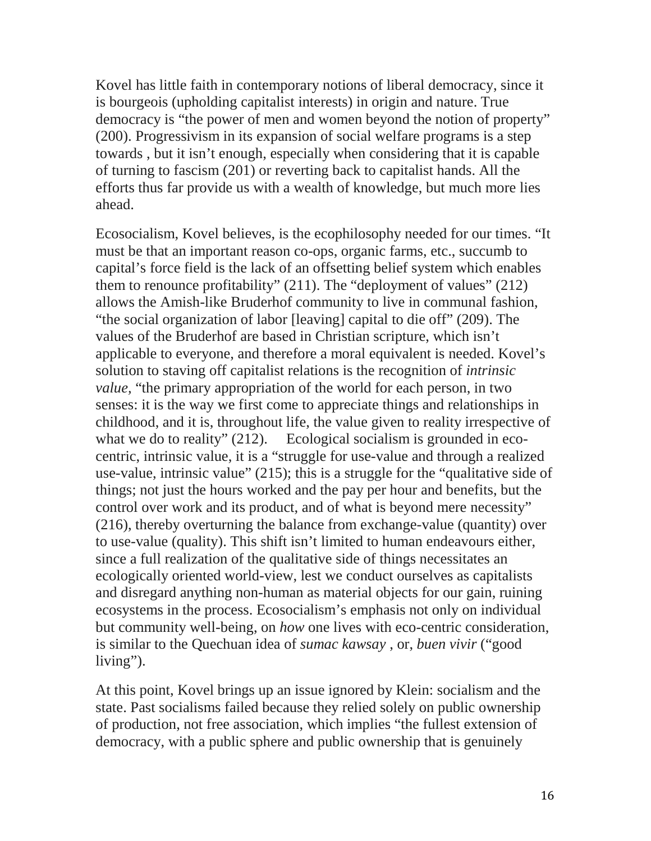Kovel has little faith in contemporary notions of liberal democracy, since it is bourgeois (upholding capitalist interests) in origin and nature. True democracy is "the power of men and women beyond the notion of property" (200). Progressivism in its expansion of social welfare programs is a step towards , but it isn't enough, especially when considering that it is capable of turning to fascism (201) or reverting back to capitalist hands. All the efforts thus far provide us with a wealth of knowledge, but much more lies ahead.

Ecosocialism, Kovel believes, is the ecophilosophy needed for our times. "It must be that an important reason co-ops, organic farms, etc., succumb to capital's force field is the lack of an offsetting belief system which enables them to renounce profitability" (211). The "deployment of values" (212) allows the Amish-like Bruderhof community to live in communal fashion, "the social organization of labor [leaving] capital to die off" (209). The values of the Bruderhof are based in Christian scripture, which isn't applicable to everyone, and therefore a moral equivalent is needed. Kovel's solution to staving off capitalist relations is the recognition of *intrinsic value,* "the primary appropriation of the world for each person, in two senses: it is the way we first come to appreciate things and relationships in childhood, and it is, throughout life, the value given to reality irrespective of what we do to reality" (212). Ecological socialism is grounded in ecocentric, intrinsic value, it is a "struggle for use-value and through a realized use-value, intrinsic value" (215); this is a struggle for the "qualitative side of things; not just the hours worked and the pay per hour and benefits, but the control over work and its product, and of what is beyond mere necessity" (216), thereby overturning the balance from exchange-value (quantity) over to use-value (quality). This shift isn't limited to human endeavours either, since a full realization of the qualitative side of things necessitates an ecologically oriented world-view, lest we conduct ourselves as capitalists and disregard anything non-human as material objects for our gain, ruining ecosystems in the process. Ecosocialism's emphasis not only on individual but community well-being, on *how* one lives with eco-centric consideration, is similar to the Quechuan idea of *sumac kawsay* , or, *buen vivir* ("good living").

At this point, Kovel brings up an issue ignored by Klein: socialism and the state. Past socialisms failed because they relied solely on public ownership of production, not free association, which implies "the fullest extension of democracy, with a public sphere and public ownership that is genuinely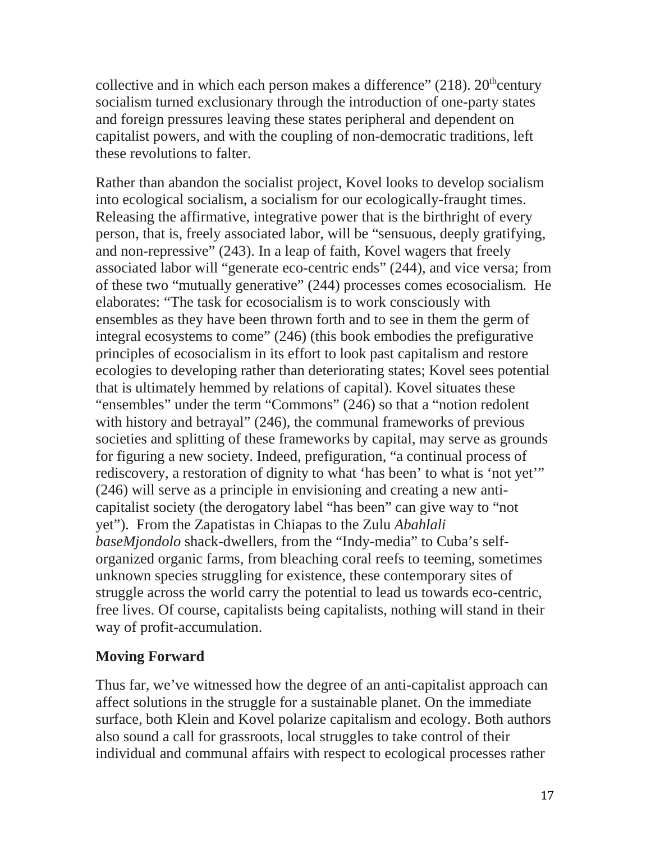collective and in which each person makes a difference"  $(218)$ .  $20<sup>th</sup>$ century socialism turned exclusionary through the introduction of one-party states and foreign pressures leaving these states peripheral and dependent on capitalist powers, and with the coupling of non-democratic traditions, left these revolutions to falter.

Rather than abandon the socialist project, Kovel looks to develop socialism into ecological socialism, a socialism for our ecologically-fraught times. Releasing the affirmative, integrative power that is the birthright of every person, that is, freely associated labor, will be "sensuous, deeply gratifying, and non-repressive" (243). In a leap of faith, Kovel wagers that freely associated labor will "generate eco-centric ends" (244), and vice versa; from of these two "mutually generative" (244) processes comes ecosocialism. He elaborates: "The task for ecosocialism is to work consciously with ensembles as they have been thrown forth and to see in them the germ of integral ecosystems to come" (246) (this book embodies the prefigurative principles of ecosocialism in its effort to look past capitalism and restore ecologies to developing rather than deteriorating states; Kovel sees potential that is ultimately hemmed by relations of capital). Kovel situates these "ensembles" under the term "Commons" (246) so that a "notion redolent with history and betrayal" (246), the communal frameworks of previous societies and splitting of these frameworks by capital, may serve as grounds for figuring a new society. Indeed, prefiguration, "a continual process of rediscovery, a restoration of dignity to what 'has been' to what is 'not yet'" (246) will serve as a principle in envisioning and creating a new anticapitalist society (the derogatory label "has been" can give way to "not yet"). From the Zapatistas in Chiapas to the Zulu *Abahlali baseMjondolo* shack-dwellers, from the "Indy-media" to Cuba's selforganized organic farms, from bleaching coral reefs to teeming, sometimes unknown species struggling for existence, these contemporary sites of struggle across the world carry the potential to lead us towards eco-centric, free lives. Of course, capitalists being capitalists, nothing will stand in their way of profit-accumulation.

## **Moving Forward**

Thus far, we've witnessed how the degree of an anti-capitalist approach can affect solutions in the struggle for a sustainable planet. On the immediate surface, both Klein and Kovel polarize capitalism and ecology. Both authors also sound a call for grassroots, local struggles to take control of their individual and communal affairs with respect to ecological processes rather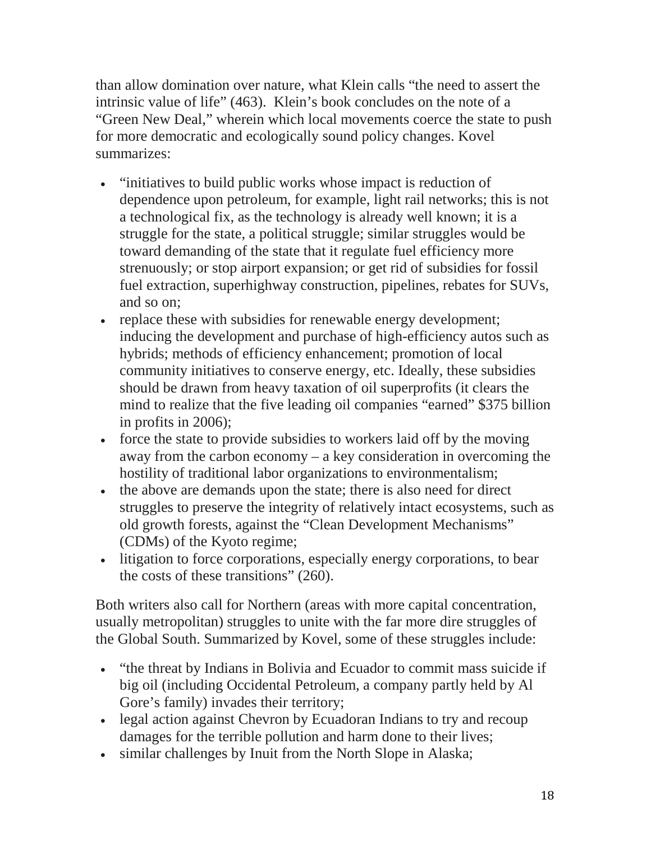than allow domination over nature, what Klein calls "the need to assert the intrinsic value of life" (463). Klein's book concludes on the note of a "Green New Deal," wherein which local movements coerce the state to push for more democratic and ecologically sound policy changes. Kovel summarizes:

- "initiatives to build public works whose impact is reduction of dependence upon petroleum, for example, light rail networks; this is not a technological fix, as the technology is already well known; it is a struggle for the state, a political struggle; similar struggles would be toward demanding of the state that it regulate fuel efficiency more strenuously; or stop airport expansion; or get rid of subsidies for fossil fuel extraction, superhighway construction, pipelines, rebates for SUVs, and so on;
- replace these with subsidies for renewable energy development; inducing the development and purchase of high-efficiency autos such as hybrids; methods of efficiency enhancement; promotion of local community initiatives to conserve energy, etc. Ideally, these subsidies should be drawn from heavy taxation of oil superprofits (it clears the mind to realize that the five leading oil companies "earned" \$375 billion in profits in 2006);
- force the state to provide subsidies to workers laid off by the moving away from the carbon economy – a key consideration in overcoming the hostility of traditional labor organizations to environmentalism;
- the above are demands upon the state; there is also need for direct struggles to preserve the integrity of relatively intact ecosystems, such as old growth forests, against the "Clean Development Mechanisms" (CDMs) of the Kyoto regime;
- litigation to force corporations, especially energy corporations, to bear the costs of these transitions" (260).

Both writers also call for Northern (areas with more capital concentration, usually metropolitan) struggles to unite with the far more dire struggles of the Global South. Summarized by Kovel, some of these struggles include:

- "the threat by Indians in Bolivia and Ecuador to commit mass suicide if big oil (including Occidental Petroleum, a company partly held by Al Gore's family) invades their territory;
- legal action against Chevron by Ecuadoran Indians to try and recoup damages for the terrible pollution and harm done to their lives;
- similar challenges by Inuit from the North Slope in Alaska;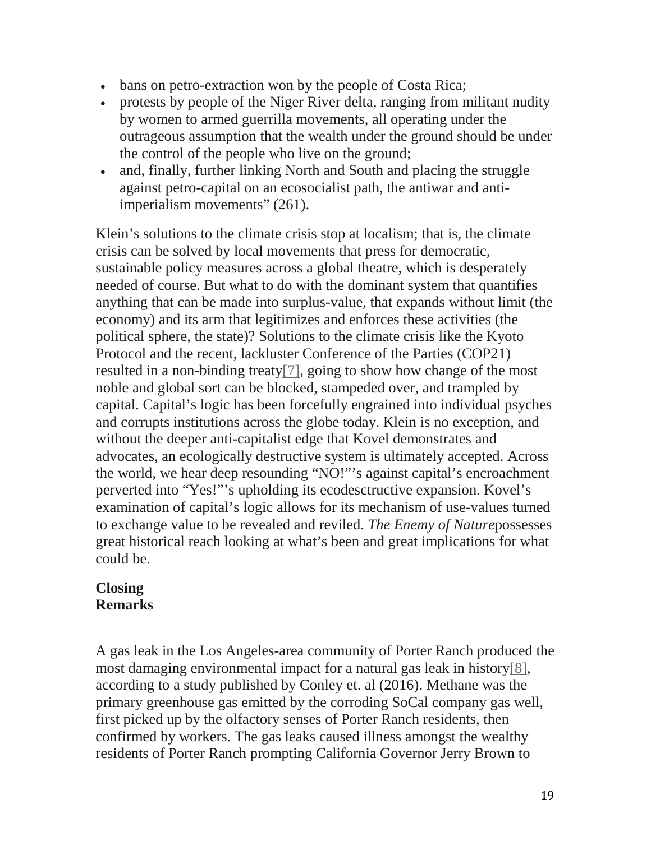- bans on petro-extraction won by the people of Costa Rica;
- protests by people of the Niger River delta, ranging from militant nudity by women to armed guerrilla movements, all operating under the outrageous assumption that the wealth under the ground should be under the control of the people who live on the ground;
- and, finally, further linking North and South and placing the struggle against petro-capital on an ecosocialist path, the antiwar and antiimperialism movements" (261).

Klein's solutions to the climate crisis stop at localism; that is, the climate crisis can be solved by local movements that press for democratic, sustainable policy measures across a global theatre, which is desperately needed of course. But what to do with the dominant system that quantifies anything that can be made into surplus-value, that expands without limit (the economy) and its arm that legitimizes and enforces these activities (the political sphere, the state)? Solutions to the climate crisis like the Kyoto Protocol and the recent, lackluster Conference of the Parties (COP21) resulted in a non-binding treat[y\[7\],](http://www.internationalmarxisthumanist.org/articles/environmental-destruction-capital-accumulation-quest-new-form-life-marcelo-mendez#_ftn7) going to show how change of the most noble and global sort can be blocked, stampeded over, and trampled by capital. Capital's logic has been forcefully engrained into individual psyches and corrupts institutions across the globe today. Klein is no exception, and without the deeper anti-capitalist edge that Kovel demonstrates and advocates, an ecologically destructive system is ultimately accepted. Across the world, we hear deep resounding "NO!"'s against capital's encroachment perverted into "Yes!"'s upholding its ecodesctructive expansion. Kovel's examination of capital's logic allows for its mechanism of use-values turned to exchange value to be revealed and reviled. *The Enemy of Nature*possesses great historical reach looking at what's been and great implications for what could be.

## **Closing Remarks**

A gas leak in the Los Angeles-area community of Porter Ranch produced the most damaging environmental impact for a natural gas leak in histor[y\[8\],](http://www.internationalmarxisthumanist.org/articles/environmental-destruction-capital-accumulation-quest-new-form-life-marcelo-mendez#_ftn8) according to a study published by Conley et. al (2016). Methane was the primary greenhouse gas emitted by the corroding SoCal company gas well, first picked up by the olfactory senses of Porter Ranch residents, then confirmed by workers. The gas leaks caused illness amongst the wealthy residents of Porter Ranch prompting California Governor Jerry Brown to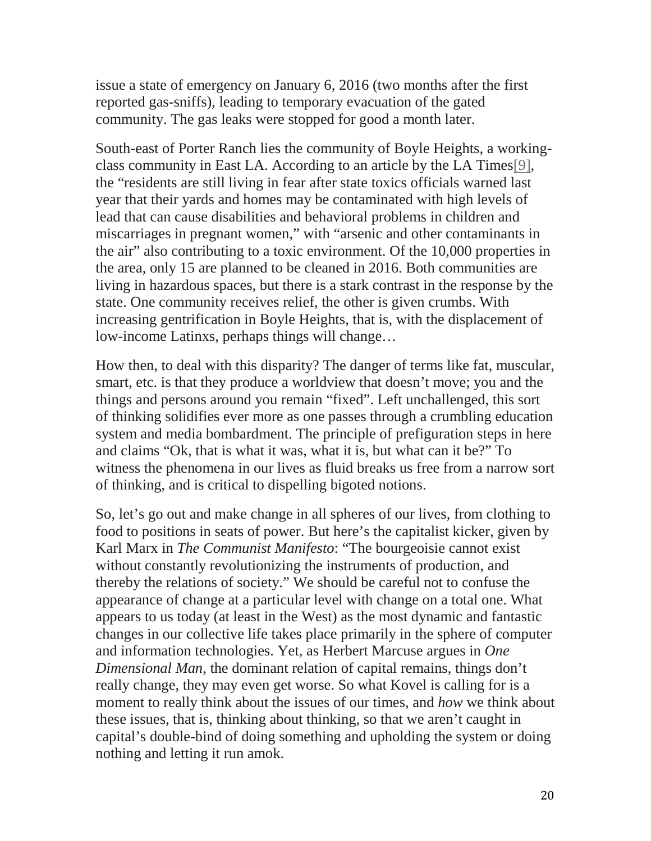issue a state of emergency on January 6, 2016 (two months after the first reported gas-sniffs), leading to temporary evacuation of the gated community. The gas leaks were stopped for good a month later.

South-east of Porter Ranch lies the community of Boyle Heights, a workingclass community in East LA. According to an article by the LA Time[s\[9\],](http://www.internationalmarxisthumanist.org/articles/environmental-destruction-capital-accumulation-quest-new-form-life-marcelo-mendez#_ftn9) the "residents are still living in fear after state toxics officials warned last year that their yards and homes may be contaminated with high levels of lead that can cause disabilities and behavioral problems in children and miscarriages in pregnant women," with "arsenic and other contaminants in the air" also contributing to a toxic environment. Of the 10,000 properties in the area, only 15 are planned to be cleaned in 2016. Both communities are living in hazardous spaces, but there is a stark contrast in the response by the state. One community receives relief, the other is given crumbs. With increasing gentrification in Boyle Heights, that is, with the displacement of low-income Latinxs, perhaps things will change…

How then, to deal with this disparity? The danger of terms like fat, muscular, smart, etc. is that they produce a worldview that doesn't move; you and the things and persons around you remain "fixed". Left unchallenged, this sort of thinking solidifies ever more as one passes through a crumbling education system and media bombardment. The principle of prefiguration steps in here and claims "Ok, that is what it was, what it is, but what can it be?" To witness the phenomena in our lives as fluid breaks us free from a narrow sort of thinking, and is critical to dispelling bigoted notions.

So, let's go out and make change in all spheres of our lives, from clothing to food to positions in seats of power. But here's the capitalist kicker, given by Karl Marx in *The Communist Manifesto*: "The bourgeoisie cannot exist without constantly revolutionizing the instruments of production, and thereby the relations of society." We should be careful not to confuse the appearance of change at a particular level with change on a total one. What appears to us today (at least in the West) as the most dynamic and fantastic changes in our collective life takes place primarily in the sphere of computer and information technologies. Yet, as Herbert Marcuse argues in *One Dimensional Man*, the dominant relation of capital remains, things don't really change, they may even get worse. So what Kovel is calling for is a moment to really think about the issues of our times, and *how* we think about these issues, that is, thinking about thinking, so that we aren't caught in capital's double-bind of doing something and upholding the system or doing nothing and letting it run amok.